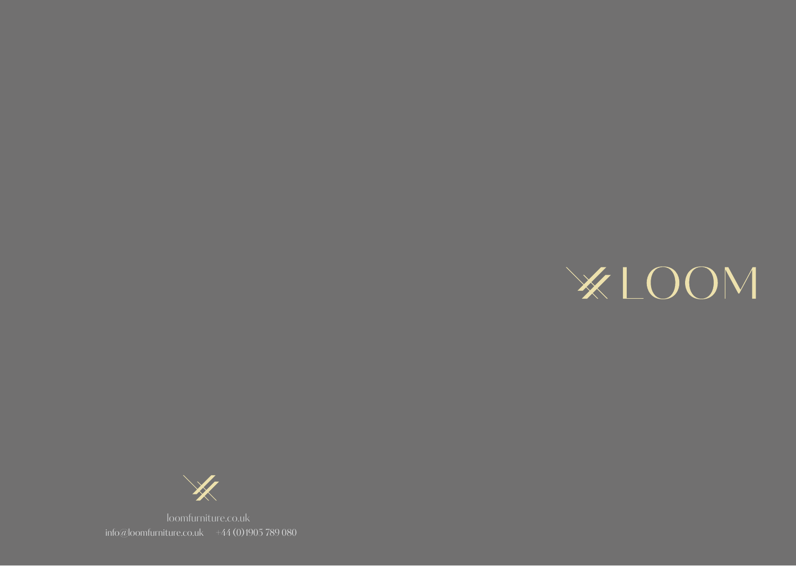



info@loomfurniture.co.uk  $+44(0)1905789080$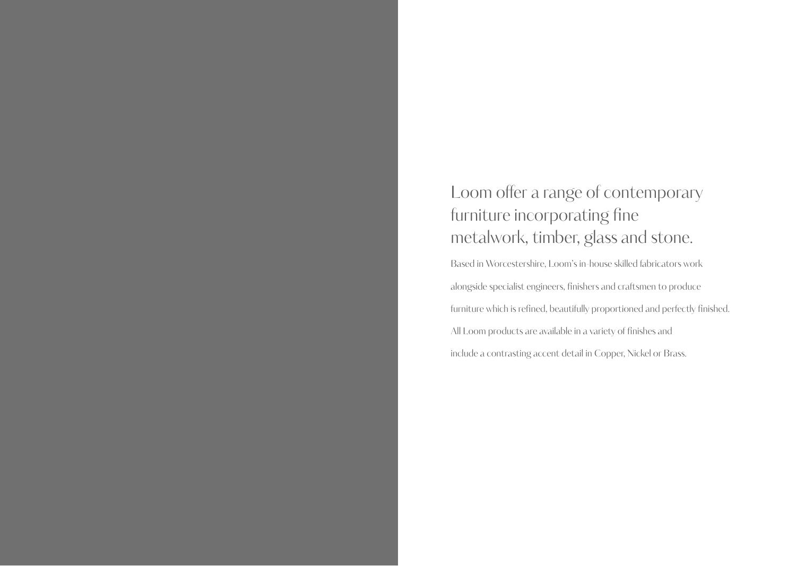## Loom offer a range of contemporary furniture incorporating fine metalwork, timber, glass and stone.

Based in Worcestershire, Loom's in-house skilled fabricators work alongside specialist engineers, finishers and craftsmen to produce furniture which is refined, beautifully proportioned and perfectly finished. All Loom products are available in a variety of finishes and include a contrasting accent detail in Copper, Nickel or Brass.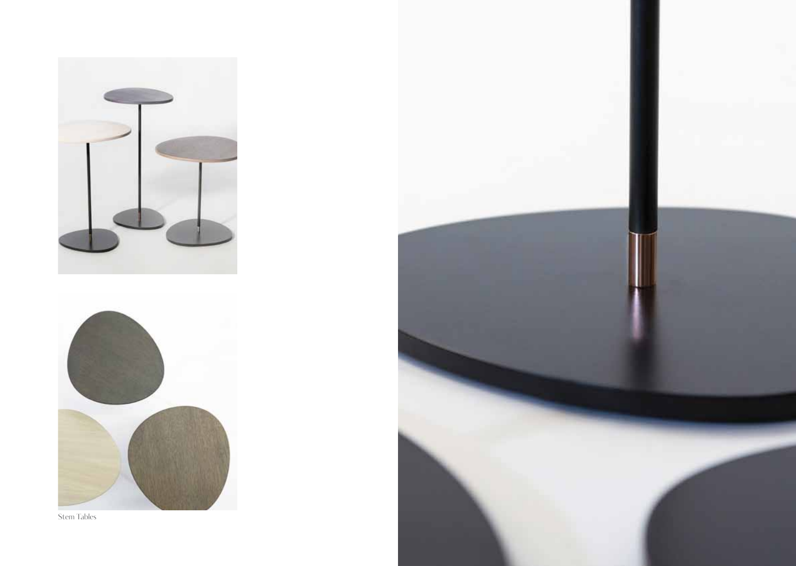





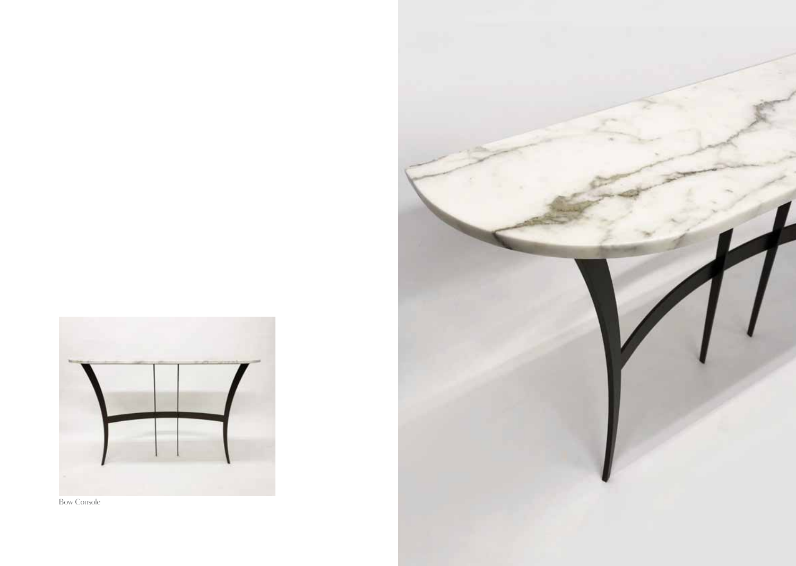

Bow Console

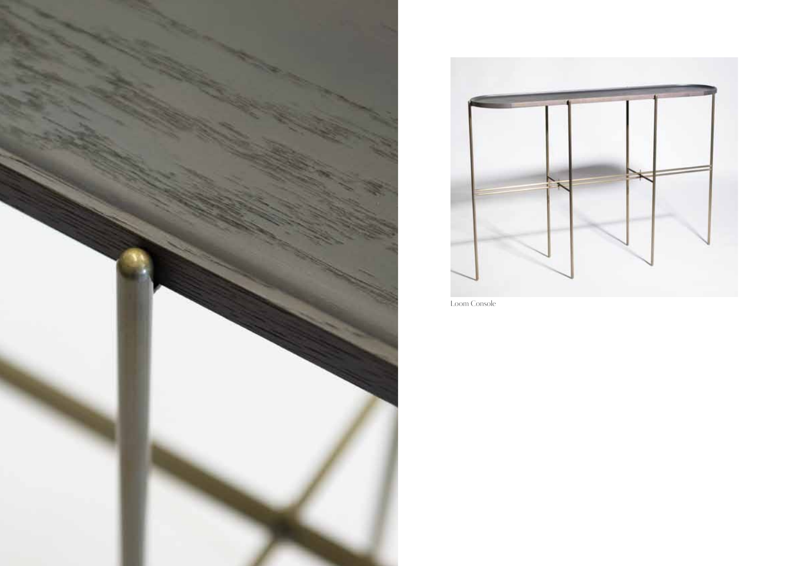



Loom Console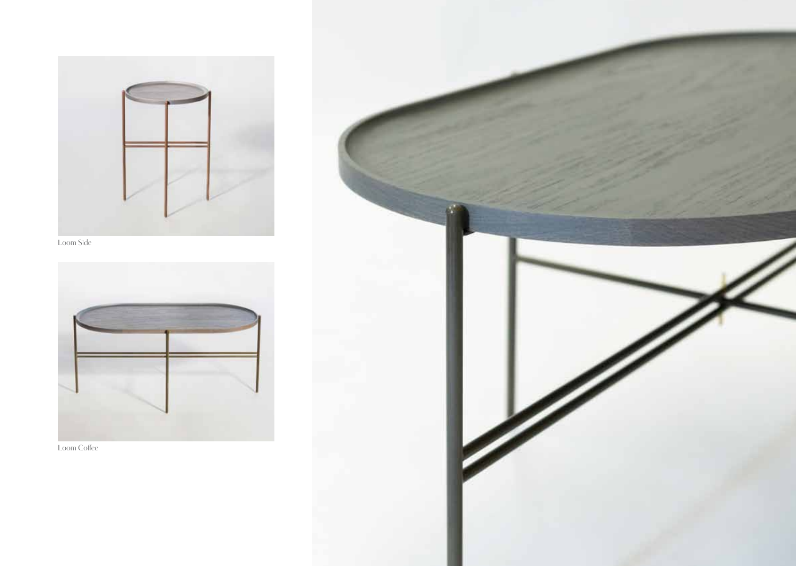





Loom Coffee

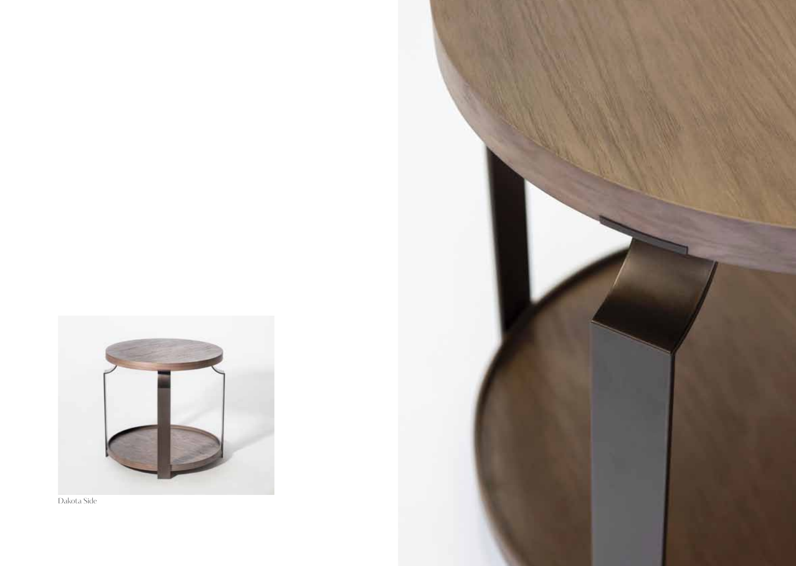

Dakota Side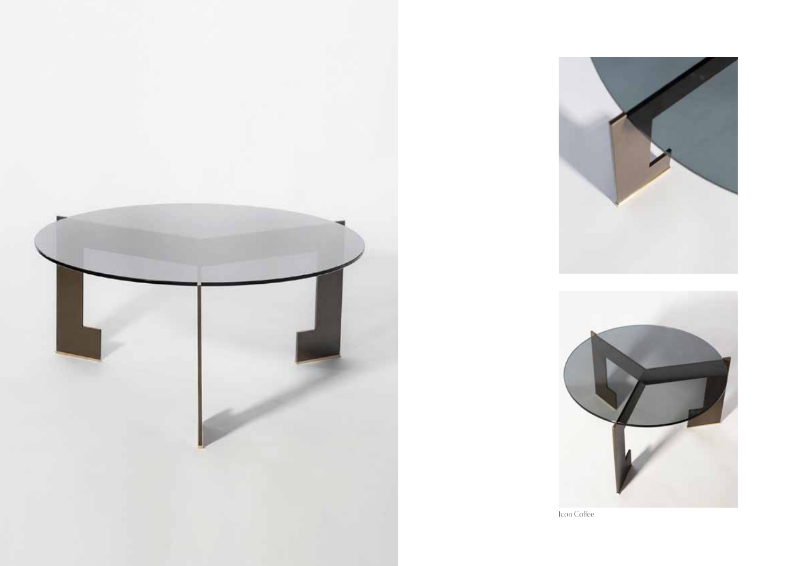





Icon Coffee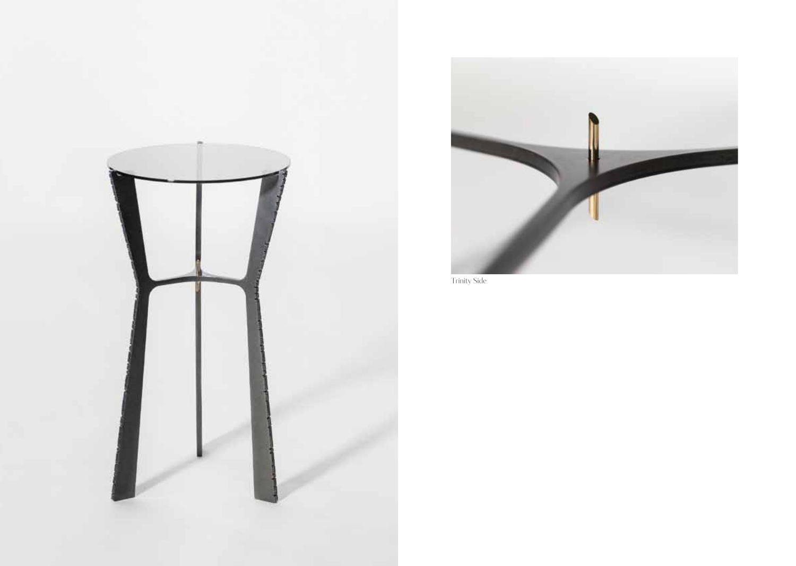



Trinity Side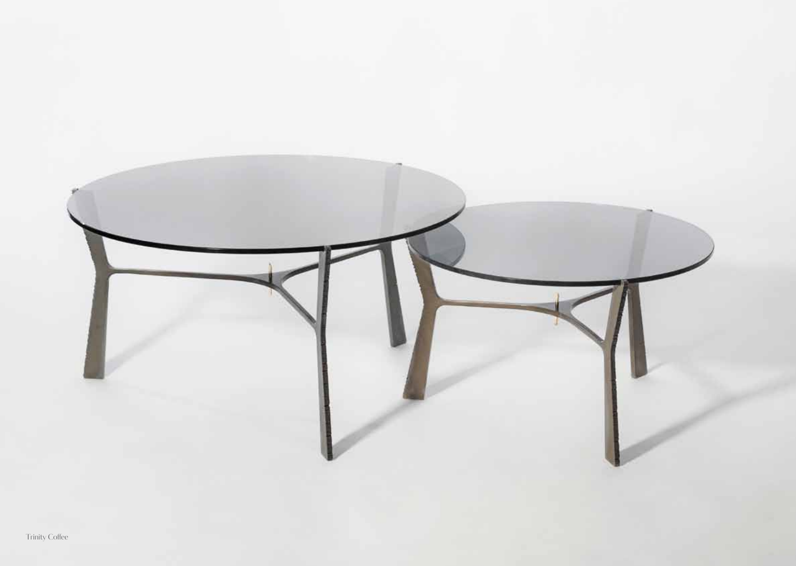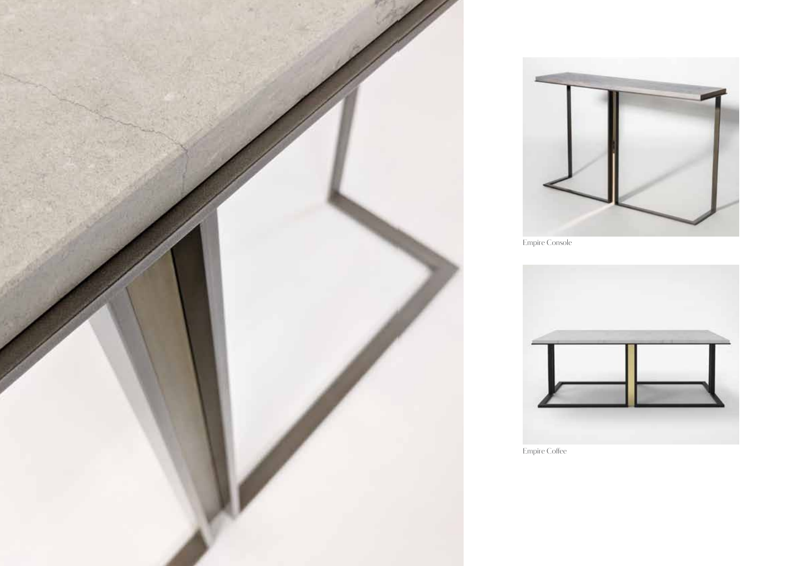

Empire Coffee





Empire Console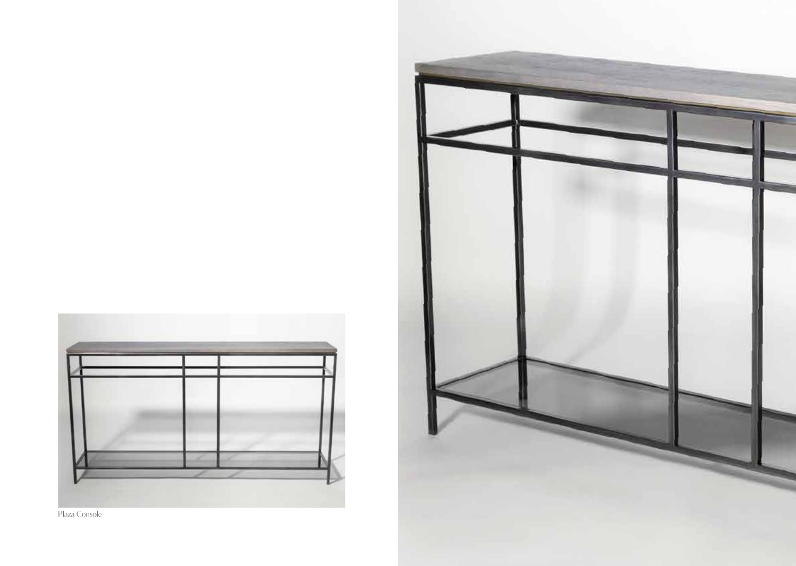



Plaza Console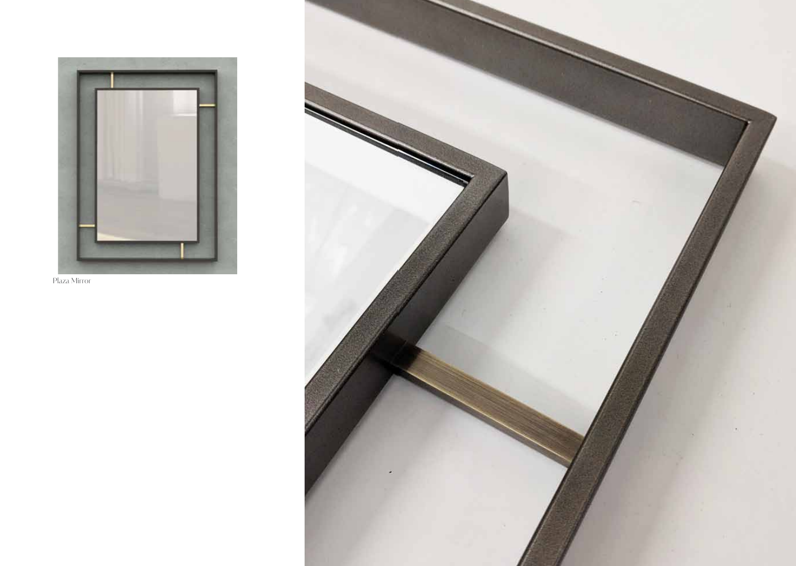![](_page_12_Picture_0.jpeg)

Plaza Mirror

![](_page_12_Picture_2.jpeg)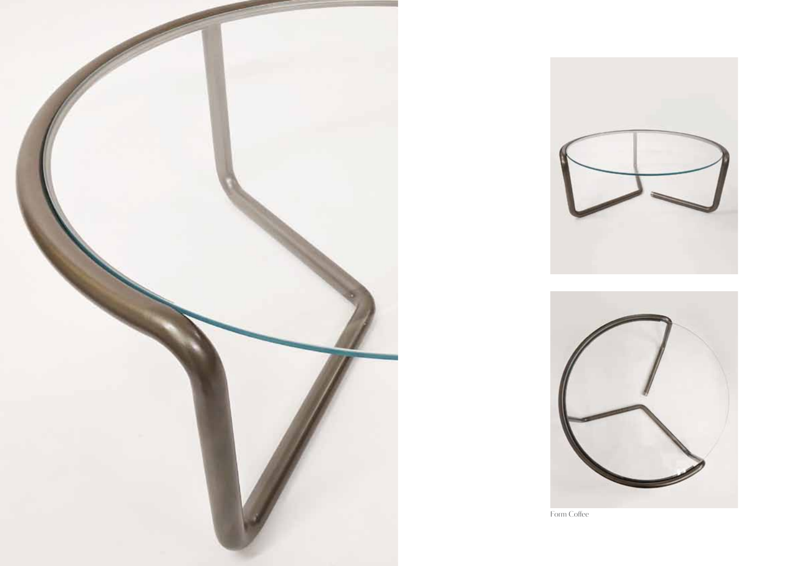![](_page_13_Picture_0.jpeg)

![](_page_13_Picture_1.jpeg)

![](_page_13_Picture_2.jpeg)

Form Coffee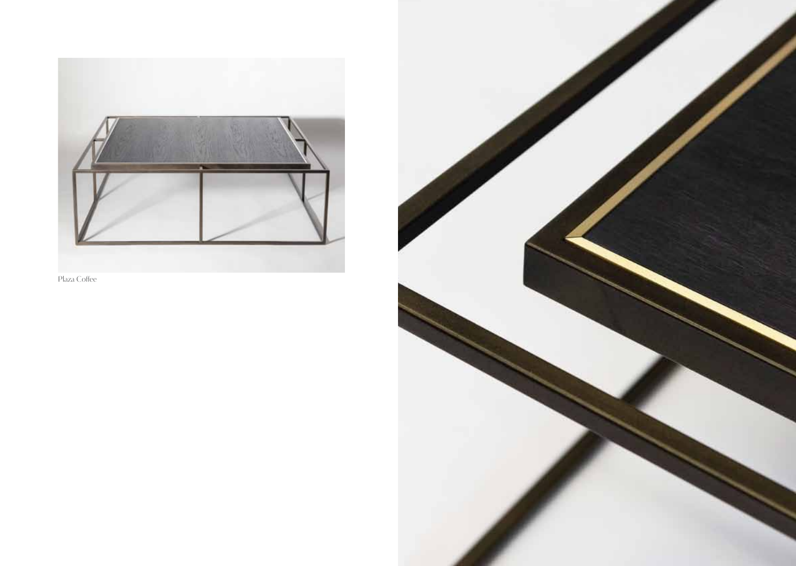![](_page_14_Picture_0.jpeg)

![](_page_14_Figure_1.jpeg)

![](_page_14_Picture_2.jpeg)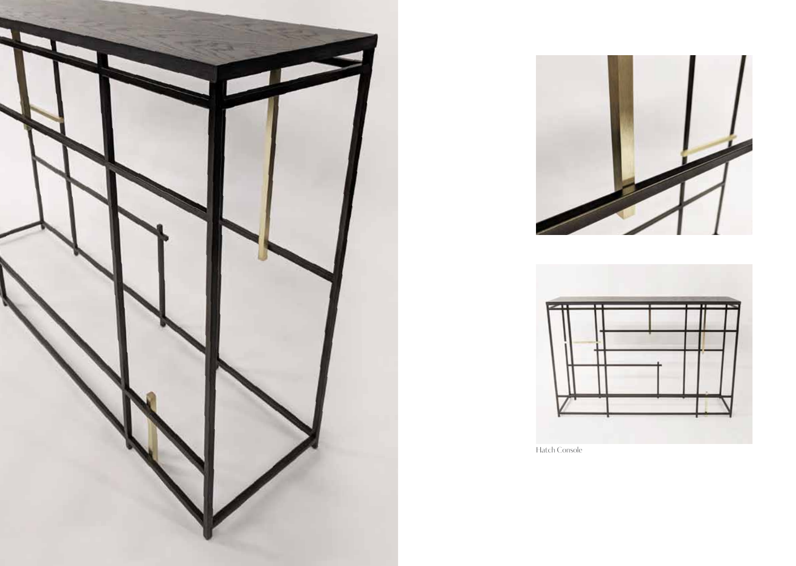![](_page_15_Picture_0.jpeg)

![](_page_15_Picture_1.jpeg)

![](_page_15_Figure_2.jpeg)

Hatch Console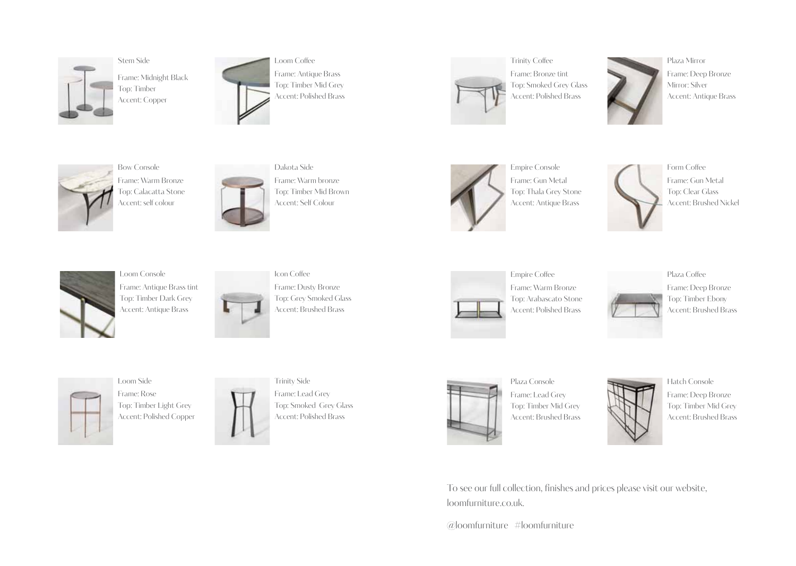![](_page_16_Picture_0.jpeg)

Stem Side Frame: Midnight Black Top: Timber Accent: Copper

![](_page_16_Picture_2.jpeg)

Loom Coffee Frame: Antique Brass Top: Timber Mid Grey Accent: Polished Brass

![](_page_16_Picture_4.jpeg)

Trinity Coffee Frame: Bronze tint Top: Smoked Grey Glass Accent: Polished Brass

![](_page_16_Picture_6.jpeg)

Plaza Mirror Frame: Deep Bronze Mirror: Silver Accent: Antique Brass

![](_page_16_Picture_8.jpeg)

Bow Console Frame: Warm Bronze Top: Calacatta Stone Accent: self colour

![](_page_16_Picture_10.jpeg)

Dakota Side Frame: Warm bronze Top: Timber Mid Brown Accent: Self Colour

![](_page_16_Picture_12.jpeg)

Empire Console Frame: Gun Metal Top: Thala Grey Stone Accent: Antique Brass

![](_page_16_Picture_14.jpeg)

Form Coffee Frame: Gun Metal Top: Clear Glass Accent: Brushed Nickel

![](_page_16_Picture_16.jpeg)

Loom Console Frame: Antique Brass tint Top: Timber Dark Grey Accent: Antique Brass

![](_page_16_Picture_18.jpeg)

Icon Coffee Frame: Dusty Bronze Top: Grey Smoked Glass Accent: Brushed Brass

![](_page_16_Picture_20.jpeg)

Empire Coffee Frame: Warm Bronze Top: Arabascato Stone Accent: Polished Brass

![](_page_16_Picture_22.jpeg)

Frame: Deep Bronze Top: Timber Ebony Accent: Brushed Brass

![](_page_16_Picture_24.jpeg)

Loom Side Frame: Rose Top: Timber Light Grey Accent: Polished Copper

![](_page_16_Picture_26.jpeg)

Trinity Side Frame: Lead Grey Top: Smoked Grey Glass Accent: Polished Brass

![](_page_16_Picture_28.jpeg)

Plaza Console Frame: Lead Grey Top: Timber Mid Grey Accent: Brushed Brass

![](_page_16_Picture_30.jpeg)

Hatch Console Frame: Deep Bronze Top: Timber Mid Grey Accent: Brushed Brass

To see our full collection, finishes and prices please visit our website, loomfurniture.co.uk.

@loomfurniture #loomfurniture